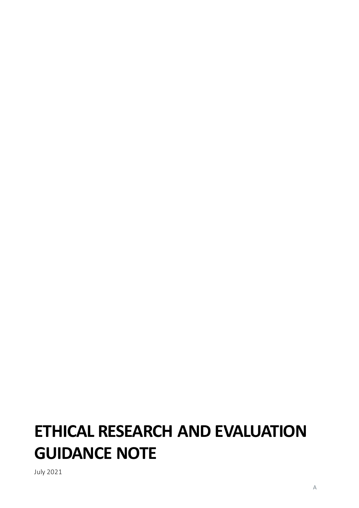# **ETHICAL RESEARCH AND EVALUATION GUIDANCE NOTE**

July 2021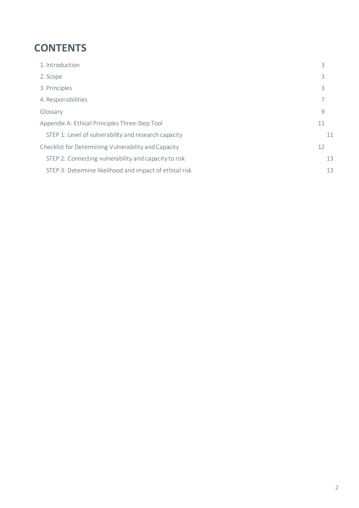### **CONTENTS**

| 1. Introduction                                         | 3  |
|---------------------------------------------------------|----|
| 2. Scope                                                | 3  |
| 3. Principles                                           | 3  |
| 4. Responsibilities                                     | 7  |
| Glossary                                                | 9  |
| Appendix A: Ethical Principles Three-Step Tool          | 11 |
| STEP 1: Level of vulnerability and research capacity    | 11 |
| Checklist for Determining Vulnerability and Capacity    | 12 |
| STEP 2: Connecting vulnerability and capacity to risk   | 13 |
| STEP 3: Determine likelihood and impact of ethical risk | 13 |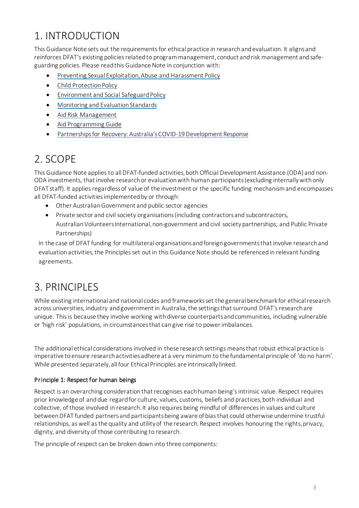# <span id="page-2-0"></span>1. INTRODUCTION

This Guidance Note sets out the requirements for ethical practice in research and evaluation. It aligns and reinforces DFAT's existing policies related to program management, conduct and risk management and safeguarding policies. Please read this Guidance Note in conjunction with:

- [Preventing Sexual Exploitation, Abuse and Harassment](https://www.dfat.gov.au/international-relations/themes/preventing-sexual-exploitation-abuse-and-harassment/Pages/default) Policy
- [Child Protection](https://www.dfat.gov.au/international-relations/themes/child-protection/Pages/child-protection) Policy
- [Environment and Social Safeguard](https://www.dfat.gov.au/aid/topics/aid-risk-management/Pages/environmental-and-social-safeguards) Policy
- [Monitoring and Evaluation Standards](https://www.dfat.gov.au/about-us/publications/Pages/dfat-monitoring-and-evaluation-standards)
- [Aid Risk Management](https://www.dfat.gov.au/aid/topics/aid-risk-management/Pages/default)
- [Aid Programming Guide](https://www.dfat.gov.au/about-us/publications/Pages/aid-programming-guide)
- [Partnerships for Recovery: Australia's COVID-19 Development Response](https://www.dfat.gov.au/publications/aid/partnerships-recovery-australias-covid-19-development-response)

## <span id="page-2-1"></span>2. SCOPE

This Guidance Note appliesto allDFAT-funded activities, both Official Development Assistance (ODA) and non-ODA investments, that involve research or evaluation with human participants (excluding internally with only DFAT staff). It applies regardless of value of the investment or the specific funding mechanism and encompasses all DFAT-funded activitiesimplemented by or through:

- Other Australian Government and public sector agencies
- Private sector and civil society organisations (including contractors and subcontractors, AustralianVolunteers International, non-government and civil society partnerships; and Public Private Partnerships)

In the case of DFAT funding for multilateral organisations and foreign governments that involve research and evaluation activities, the Principles set out in this Guidance Note should be referenced in relevant funding agreements.

### <span id="page-2-2"></span>3. PRINCIPLES

While existing international and national codes and frameworks set the general benchmark for ethical research across universities, industry and government in Australia, the settingsthat surround DFAT's research are unique. This is because they involve working with diverse counterparts and communities, including vulnerable or 'high risk' populations, in circumstances that can give rise to power imbalances.

The additional ethical considerationsinvolved in these research settings meansthat robust ethical practice is imperative to ensure research activities adhere at a very minimum to the fundamental principle of 'do no harm'. While presented separately, all four Ethical Principles are intrinsically linked.

#### Principle 1: Respect for human beings

Respect is an overarching consideration that recognises each human being's intrinsic value. Respect requires prior knowledge of and due regard for culture, values, customs, beliefs and practices, both individual and collective, of those involved in research. It also requires being mindful of differences in values and culture between DFAT funded partners and participantsbeing aware of bias that could otherwise undermine trustful relationships, as well as the quality and utility of the research. Respect involves honouring the rights, privacy, dignity, and diversity of those contributing to research.

The principle of respect can be broken down into three components: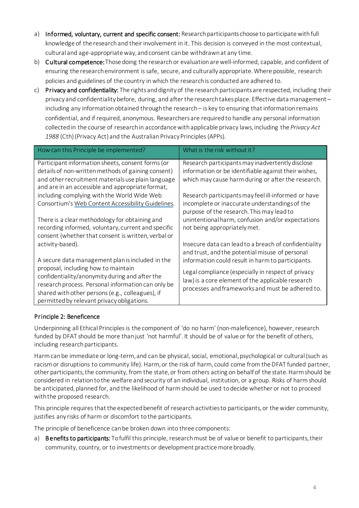- a) Informed, voluntary, current and specific consent: Research participants choose to participate with full knowledge of the research and their involvement in it. This decision is conveyed in the most contextual, cultural and age-appropriateway, and consent can be withdrawn at any time.
- b) Cultural competence: Those doing the research or evaluation are well-informed, capable, and confident of ensuring the research environment is safe, secure, and culturally appropriate. Where possible, research policies and guidelines of the country in which the research is conducted are adhered to.
- c) Privacy and confidentiality: The rights and dignity of the research participants are respected, including their privacy and confidentiality before, during, and after the research takes place. Effective data management – including any information obtained through the research - is key to ensuring that information remains confidential, and if required, anonymous. Researchers are required to handle any personal information collected in the course of research in accordance with applicable privacy laws, including the *Privacy Act 1988* (Cth) (Privacy Act) and the Australian Privacy Principles (APPs).

| How can this Principle be implemented?                                                                                                                                                                                                        | What is the risk without it?                                                                                                                                   |
|-----------------------------------------------------------------------------------------------------------------------------------------------------------------------------------------------------------------------------------------------|----------------------------------------------------------------------------------------------------------------------------------------------------------------|
| Participant information sheets, consent forms (or<br>details of non-written methods of gaining consent)<br>and other recruitment materials use plain language<br>and are in an accessible and appropriate format,                             | Research participants may inadvertently disclose<br>information or be identifiable against their wishes,<br>which may cause harm during or after the research. |
| including complying with the World Wide Web<br>Consortium's Web Content Accessibility Guidelines.                                                                                                                                             | Research participants may feel ill-informed or have<br>incomplete or inaccurate understandings of the<br>purpose of the research. This may lead to             |
| There is a clear methodology for obtaining and<br>recording informed, voluntary, current and specific<br>consent (whether that consent is written, verbal or                                                                                  | unintentional harm, confusion and/or expectations<br>not being appropriately met.                                                                              |
| activity-based).<br>A secure data management plan is included in the                                                                                                                                                                          | Insecure data can lead to a breach of confidentiality<br>and trust, and the potential misuse of personal<br>information could result in harm to participants.  |
| proposal, including how to maintain<br>confidentiality/anonymity during and after the<br>research process. Personal information can only be<br>shared with other persons (e.g., colleagues), if<br>permitted by relevant privacy obligations. | Legal compliance (especially in respect of privacy<br>law) is a core element of the applicable research<br>processes and frameworks and must be adhered to.    |

#### Principle 2: Beneficence

Underpinning all Ethical Principles is the component of 'do no harm' (non-maleficence), however, research funded by DFAT should be more than just 'not harmful'. It should be of value or for the benefit of others, including research participants.

Harm can be immediate or long-term, and can be physical, social, emotional, psychological or cultural (such as racism or disruptions to community life). Harm, or the risk of harm, could come from the DFAT funded partner, other participants, the community, from the state, or from others acting on behalf of the state. Harm should be considered in relationto the welfare and security of an individual, institution, or a group. Risks of harm should be anticipated, planned for, and the likelihood of harm should be used to decide whether or not to proceed with the proposed research.

This principle requires that the expected benefit of research activities to participants, or the wider community, justifies any risks of harm or discomfort to the participants.

The principle of beneficence can be broken down into three components:

a) Benefits to participants: To fulfil this principle, research must be of value or benefit to participants, their community, country, or to investments or development practice more broadly.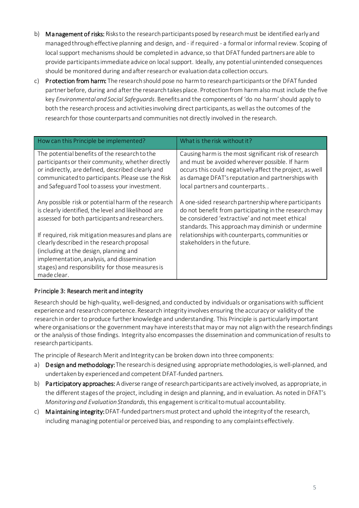- b) Management of risks: Risks to the research participants posed by research must be identified early and managed through effective planning and design, and - if required - a formal or informal review. Scoping of local support mechanisms should be completed in advance, so that DFAT funded partners are able to provide participants immediate advice on local support. Ideally, any potential unintended consequences should be monitored during and after research or evaluation data collection occurs.
- c) Protection from harm: The research should pose no harm to research participants or the DFAT funded partner before, during and after the research takes place. Protection from harm also must include the five key *Environmental and Social Safeguards*. Benefits and the components of 'do no harm' should apply to both the research process and activities involving direct participants, as well as the outcomes of the research for those counterpartsand communities not directly involved in the research.

| How can this Principle be implemented?                                                                                                                                                                                                                        | What is the risk without it?                                                                                                                                                                                                                                |
|---------------------------------------------------------------------------------------------------------------------------------------------------------------------------------------------------------------------------------------------------------------|-------------------------------------------------------------------------------------------------------------------------------------------------------------------------------------------------------------------------------------------------------------|
| The potential benefits of the research to the<br>participants or their community, whether directly<br>or indirectly, are defined, described clearly and<br>communicated to participants. Please use the Risk<br>and Safeguard Tool to assess your investment. | Causing harm is the most significant risk of research<br>and must be avoided wherever possible. If harm<br>occurs this could negatively affect the project, as well<br>as damage DFAT's reputation and partnerships with<br>local partners and counterparts |
| Any possible risk or potential harm of the research<br>is clearly identified, the level and likelihood are<br>assessed for both participants and researchers.                                                                                                 | A one-sided research partnership where participants<br>do not benefit from participating in the research may<br>be considered 'extractive' and not meet ethical<br>standards. This approach may diminish or undermine                                       |
| If required, risk mitigation measures and plans are<br>clearly described in the research proposal<br>(including at the design, planning and<br>implementation, analysis, and dissemination<br>stages) and responsibility for those measures is<br>made clear. | relationships with counterparts, communities or<br>stakeholders in the future.                                                                                                                                                                              |

#### Principle 3: Research merit and integrity

Research should be high-quality, well-designed, and conducted by individuals or organisations with sufficient experience and research competence. Research integrity involves ensuring the accuracy or validity of the research in order to produce further knowledge and understanding. This Principle is particularly important where organisations or the government may have intereststhat may or may not align with the research findings or the analysis of those findings. Integrity also encompasses the dissemination and communication of results to research participants.

The principle of Research Merit and Integrity can be broken down into three components:

- a) Design and methodology: The research is designed using appropriate methodologies, is well-planned, and undertaken by experienced and competent DFAT-funded partners.
- b) Participatory approaches: A diverse range of research participants are actively involved, as appropriate, in the different stages of the project, including in design and planning, and in evaluation. As noted in DFAT's *Monitoring and Evaluation Standards*, this engagement is critical to mutual accountability.
- c) Maintaining integrity:DFAT-funded partners must protect and uphold the integrity of the research, including managing potential or perceived bias, and responding to any complaints effectively.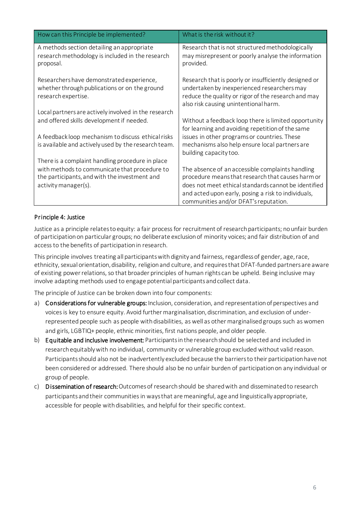| How can this Principle be implemented?                                                                                 | What is the risk without it?                                                                                                                                                                                                                                  |
|------------------------------------------------------------------------------------------------------------------------|---------------------------------------------------------------------------------------------------------------------------------------------------------------------------------------------------------------------------------------------------------------|
| A methods section detailing an appropriate<br>research methodology is included in the research<br>proposal.            | Research that is not structured methodologically<br>may misrepresent or poorly analyse the information<br>provided.                                                                                                                                           |
| Researchers have demonstrated experience,<br>whether through publications or on the ground<br>research expertise.      | Research that is poorly or insufficiently designed or<br>undertaken by inexperienced researchers may<br>reduce the quality or rigor of the research and may<br>also risk causing unintentional harm.                                                          |
| Local partners are actively involved in the research<br>and offered skills development if needed.                      | Without a feedback loop there is limited opportunity<br>for learning and avoiding repetition of the same                                                                                                                                                      |
| A feedback loop mechanism to discuss ethical risks<br>is available and actively used by the research team.             | issues in other programs or countries. These<br>mechanisms also help ensure local partners are<br>building capacity too.                                                                                                                                      |
| There is a complaint handling procedure in place                                                                       |                                                                                                                                                                                                                                                               |
| with methods to communicate that procedure to<br>the participants, and with the investment and<br>activity manager(s). | The absence of an accessible complaints handling<br>procedure means that research that causes harm or<br>does not meet ethical standards cannot be identified<br>and acted upon early, posing a risk to individuals,<br>communities and/or DFAT's reputation. |

#### Principle 4: Justice

Justice as a principle relates to equity: a fair process for recruitment of research participants; no unfair burden of participation on particular groups; no deliberate exclusion of minority voices; and fair distribution of and access to the benefits of participation in research.

This principle involves treating all participants with dignity and fairness, regardless of gender, age, race, ethnicity, sexual orientation, disability, religion and culture, and requires that DFAT-funded partners are aware of existing power relations, so that broader principles of human rights can be upheld. Being inclusive may involve adapting methods used to engage potential participants and collect data.

The principle of Justice can be broken down into four components:

- a) Considerations for vulnerable groups: Inclusion, consideration, and representation of perspectives and voices is key to ensure equity. Avoid further marginalisation, discrimination, and exclusion of underrepresented people such as people with disabilities, as well as other marginalised groups such as women and girls, LGBTIQ+ people, ethnic minorities, first nations people, and older people.
- b) Equitable and inclusive involvement: Participants in the research should be selected and included in research equitably with no individual, community or vulnerable group excluded without valid reason. Participants should also not be inadvertently excluded because the barriers to their participation have not been considered or addressed. There should also be no unfair burden of participation on any individual or group of people.
- c) Dissemination of research:Outcomes of research should be shared with and disseminated to research participants and their communities in ways that are meaningful, age and linguistically appropriate, accessible for people with disabilities, and helpful for their specific context.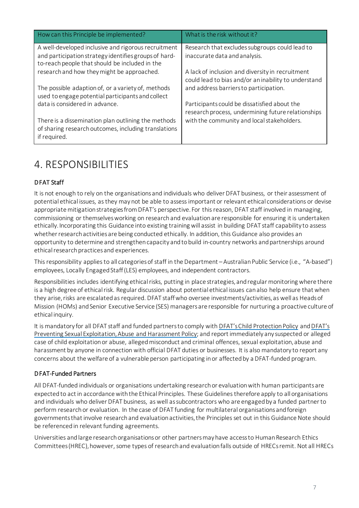| How can this Principle be implemented?                                                                       | What is the risk without it?                                                                   |
|--------------------------------------------------------------------------------------------------------------|------------------------------------------------------------------------------------------------|
| A well-developed inclusive and rigorous recruitment<br>and participation strategy identifies groups of hard- | Research that excludes subgroups could lead to<br>inaccurate data and analysis.                |
| to-reach people that should be included in the                                                               |                                                                                                |
| research and how they might be approached.                                                                   | A lack of inclusion and diversity in recruitment                                               |
| The possible adaption of, or a variety of, methods                                                           | could lead to bias and/or an inability to understand<br>and address barriers to participation. |
| used to engage potential participants and collect                                                            |                                                                                                |
| data is considered in advance.                                                                               | Participants could be dissatisfied about the                                                   |
|                                                                                                              | research process, undermining future relationships                                             |
| There is a dissemination plan outlining the methods<br>of sharing research outcomes, including translations  | with the community and local stakeholders.                                                     |
| if required.                                                                                                 |                                                                                                |

### <span id="page-6-0"></span>4. RESPONSIBILITIES

#### DFAT Staff

It is not enough to rely on the organisations and individuals who deliver DFAT business, or their assessment of potential ethical issues, as they may not be able to assess important or relevant ethical considerations or devise appropriate mitigation strategies from DFAT's perspective. For this reason, DFAT staff involved in managing, commissioning or themselves working on research and evaluation are responsible for ensuring it is undertaken ethically. Incorporating this Guidance into existing training will assist in building DFAT staff capability to assess whether research activities are being conducted ethically. In addition, this Guidance also provides an opportunity to determine and strengthen capacity and to build in-country networks and partnerships around ethical research practices and experiences.

Thisresponsibility applies to all categories of staff in the Department – Australian Public Service (i.e., "A-based") employees, Locally Engaged Staff (LES) employees, and independent contractors.

Responsibilities includes identifying ethical risks, putting in place strategies, and regular monitoring where there is a high degree of ethical risk. Regular discussion about potential ethical issues can also help ensure that when they arise, risks are escalated as required. DFAT staff who oversee investments/activities, as well as Heads of Mission (HOMs) and Senior Executive Service (SES) managers are responsible for nurturing a proactive culture of ethical inquiry.

It is mandatory for all DFAT staff and funded partners to comply with [DFAT's Child Protection Policy](http://dfatintranet.titan.satin.lo/managing-aid/other-aid-management-risk-policies/Documents/child-protection-policy.pdf) an[d DFAT's](http://dfatintranet.titan.satin.lo/managing-aid/other-aid-management-risk-policies/Documents/PSEAH-Policy-Secretary-Approved.pdf)  [Preventing Sexual Exploitation, Abuse and Harassment Policy;](http://dfatintranet.titan.satin.lo/managing-aid/other-aid-management-risk-policies/Documents/PSEAH-Policy-Secretary-Approved.pdf) and report immediately any suspected or alleged case of child exploitation or abuse, alleged misconduct and criminal offences, sexual exploitation, abuse and harassment by anyone in connection with official DFAT duties or businesses. It is also mandatory to report any concerns about the welfare of a vulnerable person participating in or affected by a DFAT-funded program.

#### DFAT-Funded Partners

All DFAT-funded individuals or organisations undertaking research or evaluation with human participants are expected to act in accordance with the Ethical Principles. These Guidelines therefore apply to all organisations and individuals who deliver DFAT business, as well as subcontractors who are engaged by a funded partner to perform research or evaluation. In the case of DFAT funding for multilateral organisations and foreign governments that involve research and evaluation activities, the Principles set out in this Guidance Note should be referenced in relevant funding agreements.

Universities and large research organisations or other partners may have access to Human Research Ethics Committees (HREC), however, some types of research and evaluation falls outside of HRECs remit. Not all HRECs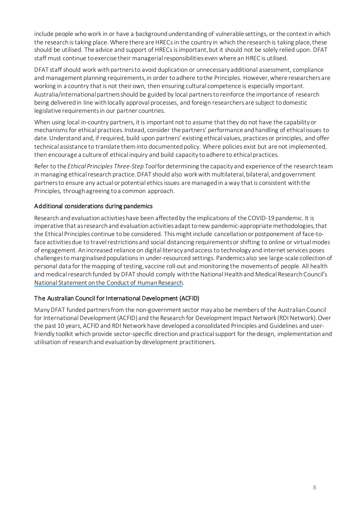include people who work in or have a background understanding of vulnerable settings, or the context in which the research is taking place. Where there are HRECs in the country in which the research is taking place, these should be utilised. The advice and support of HRECs is important, but it should not be solely relied upon. DFAT staff must continue to exercise their managerial responsibilities even where an HREC is utilised.

DFAT staff should work with partners to avoid duplication or unnecessary additional assessment, compliance and management planning requirements, in order to adhere to the Principles. However, where researchersare working in a country that is not their own, then ensuring cultural competence is especially important. Australia/international partners should be guided by local partnersto reinforce the importance of research being delivered in line with locally approval processes, and foreign researchers are subject to domestic legislative requirementsin our partner countries.

When using local in-country partners, it is important not to assume that they do not have the capability or mechanisms for ethical practices. Instead, consider the partners' performance and handling of ethical issues to date. Understand and, if required, build upon partners' existing ethical values, practices or principles, and offer technical assistance to translate them into documented policy. Where policies exist but are not implemented, then encourage a culture of ethical inquiry and build capacity to adhere to ethical practices.

Refer to the *Ethical Principles Three-Step Tool*for determining the capacity and experience of the research team in managing ethical research practice. DFAT should also work with multilateral, bilateral, and government partners to ensure any actual or potential ethics issues are managed in a way that is consistent with the Principles, through agreeing to a common approach.

#### Additional considerations during pandemics

Research and evaluation activities have been affected by the implications of the COVID-19 pandemic. It is imperative that as research and evaluation activities adapt to new pandemic-appropriate methodologies,that the Ethical Principles continue to be considered. This might include cancellation or postponement of face-toface activities due to travel restrictions and social distancing requirementsor shifting to online or virtual modes of engagement. Anincreased reliance on digital literacy andaccess to technology and internet services poses challenges to marginalised populations in under-resourced settings. Pandemicsalso see large-scale collection of personal data for the mapping of testing, vaccine roll-out and monitoring the movementsof people. All health and medical research funded by DFAT should comply with the National Health and Medical Research Council's [National Statement on the Conduct of Human Research.](file:///C:%5CUsers%5Ckkinsela%5CAppData%5CLocal%5CTemp%5C1%5C7zOCA9AF4FA%5CResearch%20and%20evaluation%20activities%20across%20the%20international%20development%20sector%20have%20been%20affected%20by%20the%20implications%20of%20the%20COVID19%20pandemic.%20This%20includes%20cancellation%20or%20postponement%20of%20planned%20activities%20due%20to%20travel%20restrictions%20and%20social%20distancing%20requirements%20as%20well%20as%20shifting%20to%20online%20or%20virtual%20modes%20of%20engagement.%20It%20also%20has%20seen%20an%20increased%20reliance%20on%20digital%20literacy%20%20and%20internet%20platforms%20and%20access%20to%20technology%20and%20internet%20services,%20which%20poses%20challenges%20to%20marginalised%20populations%20in%20under-resourced%20settings.%20This%20remains%20a%20significant%20challenge.)

#### The Australian Council for International Development (ACFID)

Many DFAT funded partners from the non-government sector may also be members of the Australian Council for International Development (ACFID) and the Research for Development Impact Network (RDI Network). Over the past 10 years, ACFID and RDI Network have developed a consolidated Principles and Guidelines and userfriendly toolkit which provide sector-specific direction and practical support for the design, implementation and utilisation of research and evaluation by development practitioners.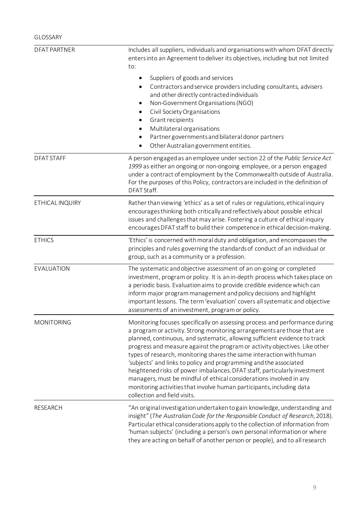<span id="page-8-0"></span>

| <b>DFAT PARTNER</b> | Includes all suppliers, individuals and organisations with whom DFAT directly<br>enters into an Agreement to deliver its objectives, including but not limited<br>to:                                                                                                                                                                                                                                                                                                                                                                                                                                                                                                                                                          |  |  |
|---------------------|--------------------------------------------------------------------------------------------------------------------------------------------------------------------------------------------------------------------------------------------------------------------------------------------------------------------------------------------------------------------------------------------------------------------------------------------------------------------------------------------------------------------------------------------------------------------------------------------------------------------------------------------------------------------------------------------------------------------------------|--|--|
|                     | Suppliers of goods and services<br>٠<br>Contractors and service providers including consultants, advisers<br>and other directly contracted individuals<br>Non-Government Organisations (NGO)<br>$\bullet$<br>Civil Society Organisations<br>Grant recipients<br>Multilateral organisations<br>Partner governments and bilateral donor partners<br>Other Australian government entities.                                                                                                                                                                                                                                                                                                                                        |  |  |
| <b>DFAT STAFF</b>   | A person engaged as an employee under section 22 of the Public Service Act<br>1999 as either an ongoing or non-ongoing employee, or a person engaged<br>under a contract of employment by the Commonwealth outside of Australia.<br>For the purposes of this Policy, contractors are included in the definition of<br>DFAT Staff.                                                                                                                                                                                                                                                                                                                                                                                              |  |  |
| ETHICAL INQUIRY     | Rather than viewing 'ethics' as a set of rules or regulations, ethical inquiry<br>encourages thinking both critically and reflectively about possible ethical<br>issues and challenges that may arise. Fostering a culture of ethical inquiry<br>encourages DFAT staff to build their competence in ethical decision-making.                                                                                                                                                                                                                                                                                                                                                                                                   |  |  |
| <b>ETHICS</b>       | 'Ethics' is concerned with moral duty and obligation, and encompasses the<br>principles and rules governing the standards of conduct of an individual or<br>group, such as a community or a profession.                                                                                                                                                                                                                                                                                                                                                                                                                                                                                                                        |  |  |
| EVALUATION          | The systematic and objective assessment of an on-going or completed<br>investment, program or policy. It is an in-depth process which takes place on<br>a periodic basis. Evaluation aims to provide credible evidence which can<br>inform major program management and policy decisions and highlight<br>important lessons. The term 'evaluation' covers all systematic and objective<br>assessments of an investment, program or policy.                                                                                                                                                                                                                                                                                     |  |  |
| <b>MONITORING</b>   | Monitoring focuses specifically on assessing process and performance during<br>a program or activity. Strong monitoring arrangements are those that are<br>planned, continuous, and systematic, allowing sufficient evidence to track<br>progress and measure against the program or activity objectives. Like other<br>types of research, monitoring shares the same interaction with human<br>'subjects' and links to policy and programming and the associated<br>heightened risks of power imbalances. DFAT staff, particularly investment<br>managers, must be mindful of ethical considerations involved in any<br>monitoring activities that involve human participants, including data<br>collection and field visits. |  |  |
| <b>RESEARCH</b>     | "An original investigation undertaken to gain knowledge, understanding and<br>insight" (The Australian Code for the Responsible Conduct of Research, 2018).<br>Particular ethical considerations apply to the collection of information from<br>'human subjects' (including a person's own personal information or where<br>they are acting on behalf of another person or people), and to all research                                                                                                                                                                                                                                                                                                                        |  |  |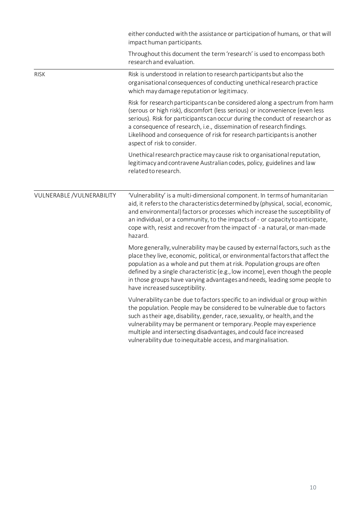|                            | either conducted with the assistance or participation of humans, or that will<br>impact human participants.                                                                                                                                                                                                                                                                                                                                         |
|----------------------------|-----------------------------------------------------------------------------------------------------------------------------------------------------------------------------------------------------------------------------------------------------------------------------------------------------------------------------------------------------------------------------------------------------------------------------------------------------|
|                            | Throughout this document the term 'research' is used to encompass both<br>research and evaluation.                                                                                                                                                                                                                                                                                                                                                  |
| <b>RISK</b>                | Risk is understood in relation to research participants but also the<br>organisational consequences of conducting unethical research practice<br>which may damage reputation or legitimacy.                                                                                                                                                                                                                                                         |
|                            | Risk for research participants can be considered along a spectrum from harm<br>(serous or high risk), discomfort (less serious) or inconvenience (even less<br>serious). Risk for participants can occur during the conduct of research or as<br>a consequence of research, i.e., dissemination of research findings.<br>Likelihood and consequence of risk for research participants is another<br>aspect of risk to consider.                     |
|                            | Unethical research practice may cause risk to organisational reputation,<br>legitimacy and contravene Australian codes, policy, guidelines and law<br>related to research.                                                                                                                                                                                                                                                                          |
| VULNERABLE / VULNERABILITY | 'Vulnerability' is a multi-dimensional component. In terms of humanitarian<br>aid, it refers to the characteristics determined by (physical, social, economic,<br>and environmental) factors or processes which increase the susceptibility of<br>an individual, or a community, to the impacts of - or capacity to anticipate,<br>cope with, resist and recover from the impact of - a natural, or man-made<br>hazard.                             |
|                            | More generally, vulnerability may be caused by external factors, such as the<br>place they live, economic, political, or environmental factors that affect the<br>population as a whole and put them at risk. Population groups are often<br>defined by a single characteristic (e.g., low income), even though the people<br>in those groups have varying advantages and needs, leading some people to<br>have increased susceptibility.           |
|                            | Vulnerability can be due to factors specific to an individual or group within<br>the population. People may be considered to be vulnerable due to factors<br>such as their age, disability, gender, race, sexuality, or health, and the<br>vulnerability may be permanent or temporary. People may experience<br>multiple and intersecting disadvantages, and could face increased<br>vulnerability due to inequitable access, and marginalisation. |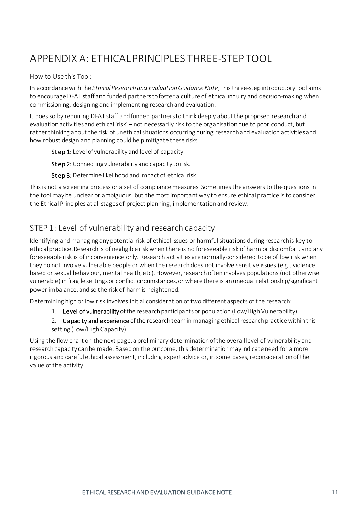# <span id="page-10-0"></span>APPENDIX A: ETHICAL PRINCIPLES THREE-STEP TOOL

How to Use this Tool:

In accordance with the *Ethical Research and Evaluation Guidance Note*, this three-step introductory tool aims to encourage DFAT staff and funded partners to foster a culture of ethical inquiry and decision-making when commissioning, designing and implementing research and evaluation.

It does so by requiring DFAT staff and funded partners to think deeply about the proposed research and evaluation activities and ethical 'risk' – not necessarily risk to the organisation due to poor conduct, but ratherthinking about the risk of unethical situations occurring during research and evaluation activities and how robust design and planning could help mitigate these risks.

Step 1: Level of vulnerability and level of capacity.

Step 2: Connecting vulnerability and capacity to risk.

Step 3: Determine likelihood and impact of ethical risk.

This is not a screening process or a set of compliance measures. Sometimes the answers to the questions in the tool may be unclear or ambiguous, but the most important way to ensure ethical practice is to consider the Ethical Principles at all stages of project planning, implementation and review.

### <span id="page-10-1"></span>STEP 1: Level of vulnerability and research capacity

Identifying and managing any potential risk of ethical issues or harmful situations during research is key to ethical practice. Research is of negligible risk when there is no foreseeable risk of harm or discomfort, and any foreseeable risk is of inconvenience only. Research activities are normally considered to be of low risk when they do not involve vulnerable people or when the research does not involve sensitive issues (e.g., violence based or sexual behaviour, mental health, etc). However, research often involves populations (not otherwise vulnerable) in fragile settings or conflict circumstances, or where there is an unequal relationship/significant power imbalance, and so the risk of harm is heightened.

Determining high or low risk involves initial consideration of two different aspects of the research:

- 1. Level of vulnerability of the research participants or population (Low/High Vulnerability)
- 2. Capacity and experience of the research team in managing ethical research practice within this setting (Low/High Capacity)

Using the flow chart on the next page, a preliminary determination of the overall level of vulnerability and research capacity can be made. Based on the outcome, this determination may indicate need for a more rigorous and careful ethical assessment, including expert advice or, in some cases, reconsideration of the value of the activity.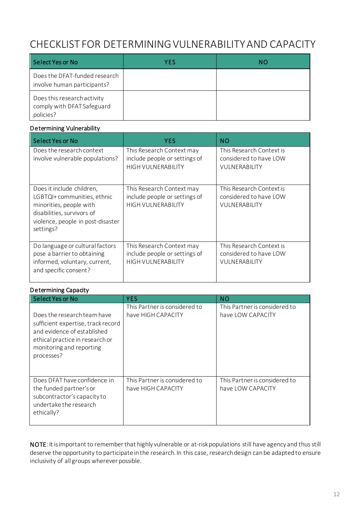### <span id="page-11-0"></span>CHECKLIST FOR DETERMINING VULNERABILITY AND CAPACITY

| Select Yes or No                                                       | <b>YES</b> | NΟ |
|------------------------------------------------------------------------|------------|----|
| Does the DFAT-funded research<br>involve human participants?           |            |    |
| Does this research activity<br>comply with DFAT Safeguard<br>policies? |            |    |

#### Determining Vulnerability

| <b>Select Yes or No</b>                                                                                                                                             | <b>YES</b>                                                                              | <b>NO</b>                                                                  |
|---------------------------------------------------------------------------------------------------------------------------------------------------------------------|-----------------------------------------------------------------------------------------|----------------------------------------------------------------------------|
| Does the research context<br>involve vulnerable populations?                                                                                                        | This Research Context may<br>include people or settings of<br><b>HIGH VULNERABILITY</b> | This Research Context is<br>considered to have LOW<br><b>VULNERABILITY</b> |
| Does it include children,<br>LGBTQI+ communities, ethnic<br>minorities, people with<br>disabilities, survivors of<br>violence, people in post-disaster<br>settings? | This Research Context may<br>include people or settings of<br><b>HIGH VULNERABILITY</b> | This Research Context is<br>considered to have LOW<br>VULNERABILITY        |
| Do language or cultural factors<br>pose a barrier to obtaining<br>informed, voluntary, current,<br>and specific consent?                                            | This Research Context may<br>include people or settings of<br><b>HIGH VULNERABILITY</b> | This Research Context is<br>considered to have LOW<br><b>VULNERABILITY</b> |

#### Determining Capacity

| Select Yes or No                                                                                                                                                              | <b>YES</b>                                          | <b>NO</b>                                          |
|-------------------------------------------------------------------------------------------------------------------------------------------------------------------------------|-----------------------------------------------------|----------------------------------------------------|
| Does the research team have<br>sufficient expertise, track record<br>and evidence of established<br>ethical practice in research or<br>monitoring and reporting<br>processes? | This Partner is considered to<br>have HIGH CAPACITY | This Partner is considered to<br>have LOW CAPACITY |
| Does DFAT have confidence in<br>the funded partner's or<br>subcontractor's capacity to<br>undertake the research<br>ethically?                                                | This Partner is considered to<br>have HIGH CAPACITY | This Partner is considered to<br>have LOW CAPACITY |

NOTE: It is important to remember that highly vulnerable or at-risk populations still have agency and thus still deserve the opportunity to participate in the research. In this case, research design can be adapted to ensure inclusivity of all groups wherever possible.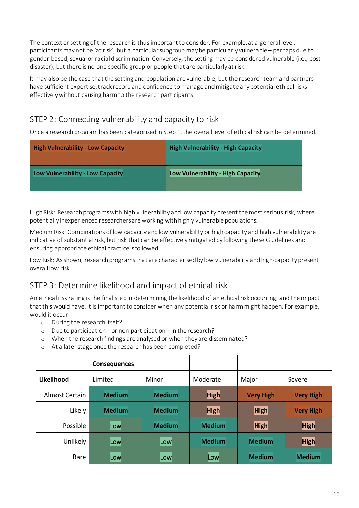The context or setting of the research is thus important to consider. For example, at a general level, participants may not be 'at risk', but a particular subgroup may be particularly vulnerable – perhaps due to gender-based, sexual or racial discrimination. Conversely, the setting may be considered vulnerable (i.e., postdisaster), but there is no one specific group or people that are particularly at risk.

It may also be the case that the setting and population are vulnerable, but the research team and partners have sufficient expertise, track record and confidence to manage and mitigate any potential ethical risks effectively without causing harm to the research participants.

### <span id="page-12-0"></span>STEP 2: Connecting vulnerability and capacity to risk

Once a research program has been categorised in Step 1, the overall level of ethical risk can be determined.

| <b>High Vulnerability - Low Capacity</b> | <b>High Vulnerability - High Capacity</b> |
|------------------------------------------|-------------------------------------------|
| Low Vulnerability - Low Capacity         | Low Vulnerability - High Capacity         |

High Risk: Research programs with high vulnerability and low capacity present the most serious risk, where potentially inexperienced researchers are working with highly vulnerable populations.

Medium Risk: Combinations of low capacity and low vulnerability or high capacity and high vulnerability are indicative of substantial risk, but risk that can be effectively mitigated by following these Guidelines and ensuring appropriate ethical practice is followed.

Low Risk: As shown, research programs that are characterised by low vulnerability and high-capacity present overall low risk.

### <span id="page-12-1"></span>STEP 3: Determine likelihood and impact of ethical risk

An ethical risk rating is the final step in determining the likelihood of an ethical risk occurring, and the impact that this would have. It is important to consider when any potential risk or harm might happen. For example, would it occur:

- o During the researchitself?
- o Due to participation– or non-participation in the research?
- o When the research findings are analysed or when they are disseminated?
- o At a later stage once the research has been completed?

|                | <b>Consequences</b> |               |               |                  |                  |
|----------------|---------------------|---------------|---------------|------------------|------------------|
| Likelihood     | Limited             | Minor         | Moderate      | Major            | Severe           |
| Almost Certain | <b>Medium</b>       | <b>Medium</b> | <b>High</b>   | <b>Very High</b> | <b>Very High</b> |
| Likely         | <b>Medium</b>       | <b>Medium</b> | <b>High</b>   | <b>High</b>      | <b>Very High</b> |
| Possible       | Low                 | <b>Medium</b> | <b>Medium</b> | <b>High</b>      | <b>High</b>      |
| Unlikely       | Low                 | Low           | <b>Medium</b> | <b>Medium</b>    | <b>High</b>      |
| Rare           | Low                 | Low           | Low           | <b>Medium</b>    | <b>Medium</b>    |